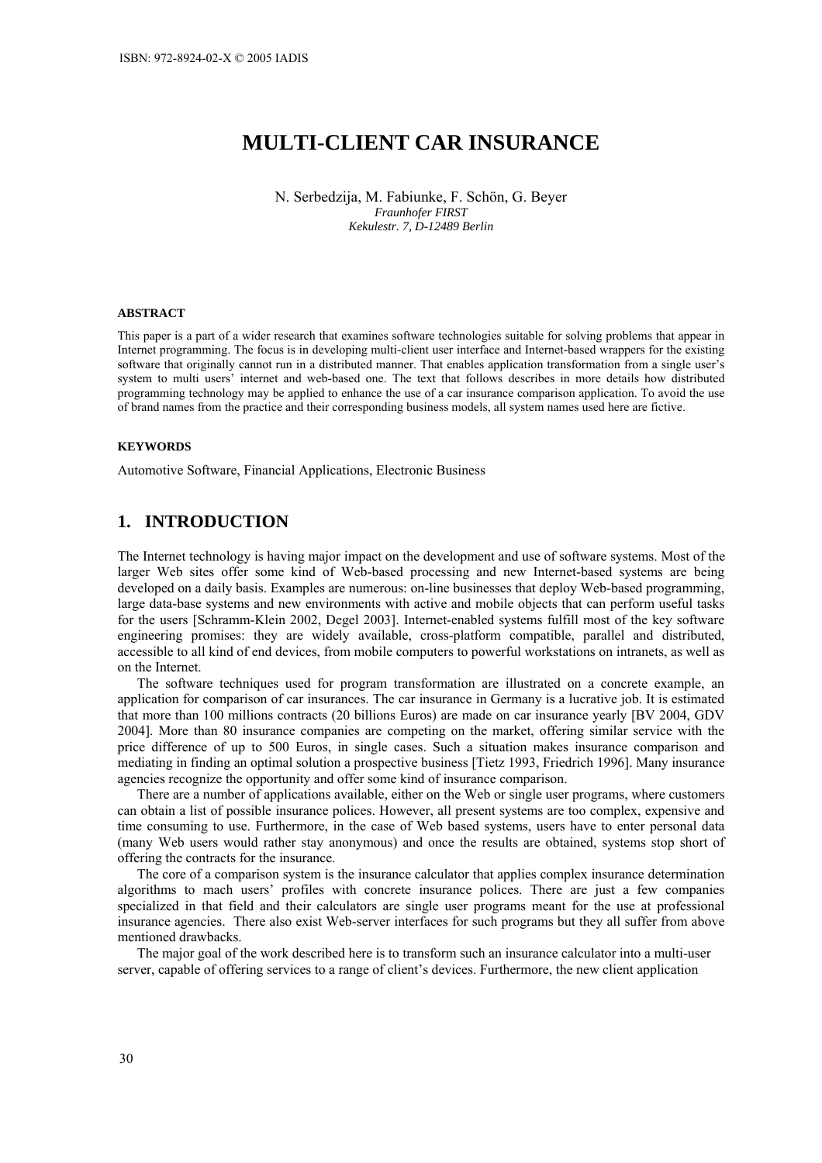# **MULTI-CLIENT CAR INSURANCE**

N. Serbedzija, M. Fabiunke, F. Schön, G. Beyer *Fraunhofer FIRST Kekulestr. 7, D-12489 Berlin* 

#### **ABSTRACT**

This paper is a part of a wider research that examines software technologies suitable for solving problems that appear in Internet programming. The focus is in developing multi-client user interface and Internet-based wrappers for the existing software that originally cannot run in a distributed manner. That enables application transformation from a single user's system to multi users' internet and web-based one. The text that follows describes in more details how distributed programming technology may be applied to enhance the use of a car insurance comparison application. To avoid the use of brand names from the practice and their corresponding business models, all system names used here are fictive.

#### **KEYWORDS**

Automotive Software, Financial Applications, Electronic Business

# **1. INTRODUCTION**

The Internet technology is having major impact on the development and use of software systems. Most of the larger Web sites offer some kind of Web-based processing and new Internet-based systems are being developed on a daily basis. Examples are numerous: on-line businesses that deploy Web-based programming, large data-base systems and new environments with active and mobile objects that can perform useful tasks for the users [Schramm-Klein 2002, Degel 2003]. Internet-enabled systems fulfill most of the key software engineering promises: they are widely available, cross-platform compatible, parallel and distributed, accessible to all kind of end devices, from mobile computers to powerful workstations on intranets, as well as on the Internet.

The software techniques used for program transformation are illustrated on a concrete example, an application for comparison of car insurances. The car insurance in Germany is a lucrative job. It is estimated that more than 100 millions contracts (20 billions Euros) are made on car insurance yearly [BV 2004, GDV 2004]. More than 80 insurance companies are competing on the market, offering similar service with the price difference of up to 500 Euros, in single cases. Such a situation makes insurance comparison and mediating in finding an optimal solution a prospective business [Tietz 1993, Friedrich 1996]. Many insurance agencies recognize the opportunity and offer some kind of insurance comparison.

There are a number of applications available, either on the Web or single user programs, where customers can obtain a list of possible insurance polices. However, all present systems are too complex, expensive and time consuming to use. Furthermore, in the case of Web based systems, users have to enter personal data (many Web users would rather stay anonymous) and once the results are obtained, systems stop short of offering the contracts for the insurance.

The core of a comparison system is the insurance calculator that applies complex insurance determination algorithms to mach users' profiles with concrete insurance polices. There are just a few companies specialized in that field and their calculators are single user programs meant for the use at professional insurance agencies. There also exist Web-server interfaces for such programs but they all suffer from above mentioned drawbacks.

The major goal of the work described here is to transform such an insurance calculator into a multi-user server, capable of offering services to a range of client's devices. Furthermore, the new client application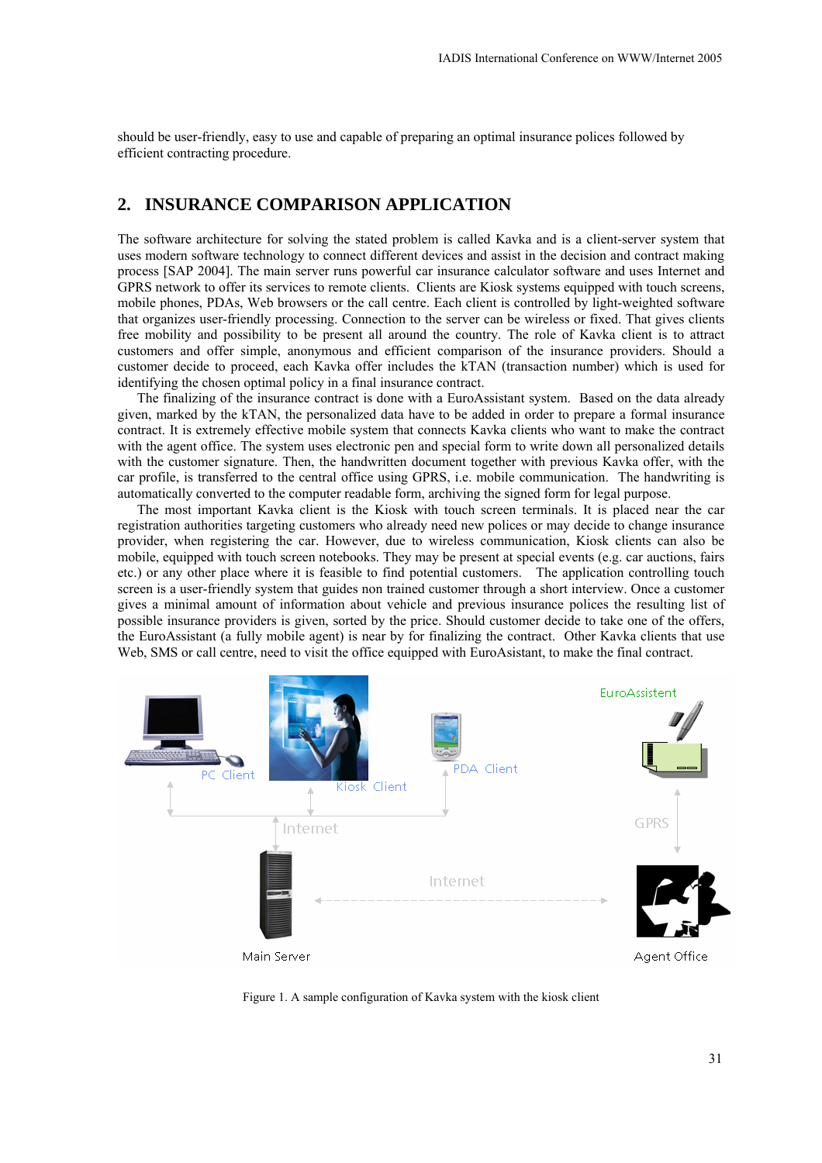should be user-friendly, easy to use and capable of preparing an optimal insurance polices followed by efficient contracting procedure.

#### **2. INSURANCE COMPARISON APPLICATION**

The software architecture for solving the stated problem is called Kavka and is a client-server system that uses modern software technology to connect different devices and assist in the decision and contract making process [SAP 2004]. The main server runs powerful car insurance calculator software and uses Internet and GPRS network to offer its services to remote clients. Clients are Kiosk systems equipped with touch screens, mobile phones, PDAs, Web browsers or the call centre. Each client is controlled by light-weighted software that organizes user-friendly processing. Connection to the server can be wireless or fixed. That gives clients free mobility and possibility to be present all around the country. The role of Kavka client is to attract customers and offer simple, anonymous and efficient comparison of the insurance providers. Should a customer decide to proceed, each Kavka offer includes the kTAN (transaction number) which is used for identifying the chosen optimal policy in a final insurance contract.

The finalizing of the insurance contract is done with a EuroAssistant system. Based on the data already given, marked by the kTAN, the personalized data have to be added in order to prepare a formal insurance contract. It is extremely effective mobile system that connects Kavka clients who want to make the contract with the agent office. The system uses electronic pen and special form to write down all personalized details with the customer signature. Then, the handwritten document together with previous Kavka offer, with the car profile, is transferred to the central office using GPRS, i.e. mobile communication. The handwriting is automatically converted to the computer readable form, archiving the signed form for legal purpose.

The most important Kavka client is the Kiosk with touch screen terminals. It is placed near the car registration authorities targeting customers who already need new polices or may decide to change insurance provider, when registering the car. However, due to wireless communication, Kiosk clients can also be mobile, equipped with touch screen notebooks. They may be present at special events (e.g. car auctions, fairs etc.) or any other place where it is feasible to find potential customers. The application controlling touch screen is a user-friendly system that guides non trained customer through a short interview. Once a customer gives a minimal amount of information about vehicle and previous insurance polices the resulting list of possible insurance providers is given, sorted by the price. Should customer decide to take one of the offers, the EuroAssistant (a fully mobile agent) is near by for finalizing the contract. Other Kavka clients that use Web, SMS or call centre, need to visit the office equipped with EuroAsistant, to make the final contract.



Figure 1. A sample configuration of Kavka system with the kiosk client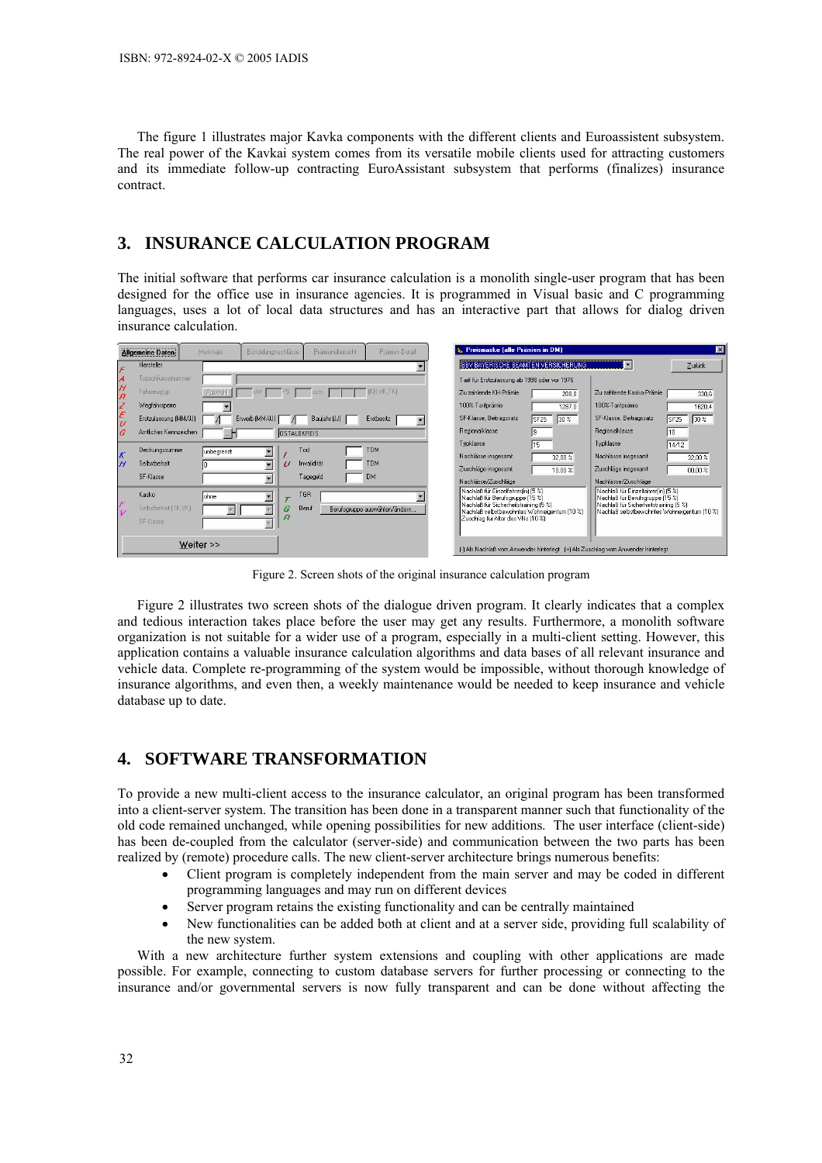The figure 1 illustrates major Kavka components with the different clients and Euroassistent subsystem. The real power of the Kavkai system comes from its versatile mobile clients used for attracting customers and its immediate follow-up contracting EuroAssistant subsystem that performs (finalizes) insurance contract.

#### **3. INSURANCE CALCULATION PROGRAM**

The initial software that performs car insurance calculation is a monolith single-user program that has been designed for the office use in insurance agencies. It is programmed in Visual basic and C programming languages, uses a lot of local data structures and has an interactive part that allows for dialog driven insurance calculation.

|                                 | <b>Allgemeine Daten</b> | Merkmale   | Bündelungnachlässe       |                    | Prämienübersicht | Prämien-Detail                                                                    | Preismaske (alle Prämien in DM)                                                      |                         |                                                                                      | $\vert x \vert$         |
|---------------------------------|-------------------------|------------|--------------------------|--------------------|------------------|-----------------------------------------------------------------------------------|--------------------------------------------------------------------------------------|-------------------------|--------------------------------------------------------------------------------------|-------------------------|
| F                               | Hersteller              |            |                          |                    |                  |                                                                                   | <b>BBV BAYERISCHE BEAMTEN VERSICHERUNG</b>                                           |                         |                                                                                      | Zurück                  |
| Å                               | Typschlüsselnummer      |            |                          |                    |                  |                                                                                   | Tarif für Erstzulassung ab 1998 oder vor 1976                                        |                         |                                                                                      |                         |
| H<br>$\overline{B}$             | Fahrzeugtyp             | Auswahl    | KW                       | PS.                | ccm.             | (KH, VK, TK)                                                                      | Zu zahlende KH-Prämie                                                                | 288.8                   | Zu zahlende Kasko-Prämie                                                             | 330.6                   |
|                                 | Wegfahrsperre           |            |                          |                    |                  |                                                                                   | 100%-Tarifprämie                                                                     | 1287.0                  | 100%-Tarifprämie                                                                     | 1620.4                  |
| z<br>E<br>U                     | Erstzulassung (MM/JJ)   |            | Erwerb (MM/JJ)           |                    | Baujahr (JJ)     | Erstbesitz                                                                        | SF-Klasse, Beitragssatz                                                              | SF25<br>30 <sup>2</sup> | SF-Klasse, Beitragssatz                                                              | 30 <sup>2</sup><br>SF25 |
| G                               | Amtliches Kennzeichen   |            |                          | <b>OSTALBKREIS</b> |                  |                                                                                   | Regionalklasse                                                                       |                         | Regionalklasse                                                                       | 10                      |
|                                 | Deckungssumme           | unbegrenzt | $\blacktriangledown$     |                    | Tod              | <b>TDM</b>                                                                        | Tupklasse                                                                            | l15.                    | Typklasse                                                                            | 14/12                   |
| $\boldsymbol{\mathcal{K}}$<br>H | Selbstbehalt            |            | $\overline{\phantom{a}}$ | U                  | Invalidität      | <b>TDM</b>                                                                        | Nachlässe insgesamt                                                                  | 32,00 %                 | Nachlässe insgesamt                                                                  | 32,00 %                 |
|                                 | SF-Klasse               |            |                          |                    | Tagegeld         | DM                                                                                | Zuschläge insgesamt                                                                  | 10.00%                  | Zuschläge insgesamt                                                                  | 00.00%                  |
|                                 |                         |            |                          |                    |                  |                                                                                   | Nachlässe/Zuschläge                                                                  |                         | Nachlässe/Zuschläge                                                                  |                         |
|                                 | Kasko                   | ohne       | $\blacktriangledown$     | $\tau$             | TGR              |                                                                                   | Nachlaß für Einzelfahrer[in] (5 %)<br>Nachlaß für Berufsgruppe [15 %]                |                         | Nachlaß für Einzelfahrerfin] (5 %)<br>Nachlaß für Berufsgruppe (15 %)                |                         |
|                                 | Selbstbehalt (TK,VK)    |            |                          | G                  | Beruf            | Berufsgruppe auswählen/ändern                                                     | Nachlaß für Sicherheitstraining [5 %]<br>Nachlaß selbstbewohntes Wohneigentum [10 %] |                         | Nachlaß für Sicherheitstraining (5 %)<br>Nachlaß selbstbewohntes Wohneigentum [10 %] |                         |
|                                 | SF-Klasse               |            |                          | $\overline{B}$     |                  |                                                                                   | Zuschlag für Alter des VNs (10 %)                                                    |                         |                                                                                      |                         |
|                                 |                         |            |                          |                    |                  |                                                                                   |                                                                                      |                         |                                                                                      |                         |
| Weiter >>                       |                         |            |                          |                    |                  | (-1 Als Nachlaß vom Anwender hinterlegt (+1 Als Zuschlag vom Anwender hinterlegt) |                                                                                      |                         |                                                                                      |                         |

Figure 2. Screen shots of the original insurance calculation program

Figure 2 illustrates two screen shots of the dialogue driven program. It clearly indicates that a complex and tedious interaction takes place before the user may get any results. Furthermore, a monolith software organization is not suitable for a wider use of a program, especially in a multi-client setting. However, this application contains a valuable insurance calculation algorithms and data bases of all relevant insurance and vehicle data. Complete re-programming of the system would be impossible, without thorough knowledge of insurance algorithms, and even then, a weekly maintenance would be needed to keep insurance and vehicle database up to date.

### **4. SOFTWARE TRANSFORMATION**

To provide a new multi-client access to the insurance calculator, an original program has been transformed into a client-server system. The transition has been done in a transparent manner such that functionality of the old code remained unchanged, while opening possibilities for new additions. The user interface (client-side) has been de-coupled from the calculator (server-side) and communication between the two parts has been realized by (remote) procedure calls. The new client-server architecture brings numerous benefits:

- Client program is completely independent from the main server and may be coded in different programming languages and may run on different devices
- Server program retains the existing functionality and can be centrally maintained
- New functionalities can be added both at client and at a server side, providing full scalability of the new system.

With a new architecture further system extensions and coupling with other applications are made possible. For example, connecting to custom database servers for further processing or connecting to the insurance and/or governmental servers is now fully transparent and can be done without affecting the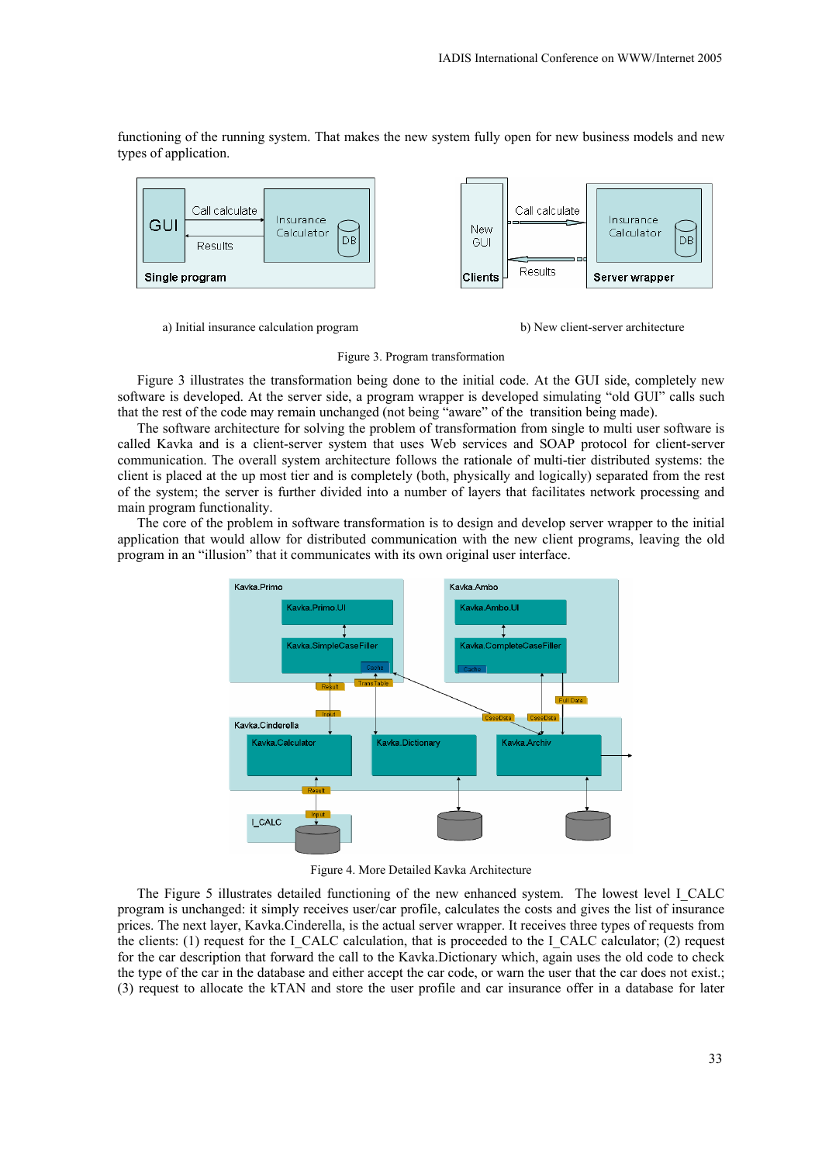functioning of the running system. That makes the new system fully open for new business models and new types of application.



a) Initial insurance calculation program b) New client-server architecture



Figure 3. Program transformation

Figure 3 illustrates the transformation being done to the initial code. At the GUI side, completely new software is developed. At the server side, a program wrapper is developed simulating "old GUI" calls such that the rest of the code may remain unchanged (not being "aware" of the transition being made).

The software architecture for solving the problem of transformation from single to multi user software is called Kavka and is a client-server system that uses Web services and SOAP protocol for client-server communication. The overall system architecture follows the rationale of multi-tier distributed systems: the client is placed at the up most tier and is completely (both, physically and logically) separated from the rest of the system; the server is further divided into a number of layers that facilitates network processing and main program functionality.

The core of the problem in software transformation is to design and develop server wrapper to the initial application that would allow for distributed communication with the new client programs, leaving the old program in an "illusion" that it communicates with its own original user interface.



Figure 4. More Detailed Kavka Architecture

The Figure 5 illustrates detailed functioning of the new enhanced system. The lowest level I\_CALC program is unchanged: it simply receives user/car profile, calculates the costs and gives the list of insurance prices. The next layer, Kavka.Cinderella, is the actual server wrapper. It receives three types of requests from the clients: (1) request for the I\_CALC calculation, that is proceeded to the I\_CALC calculator; (2) request for the car description that forward the call to the Kavka.Dictionary which, again uses the old code to check the type of the car in the database and either accept the car code, or warn the user that the car does not exist.; (3) request to allocate the kTAN and store the user profile and car insurance offer in a database for later